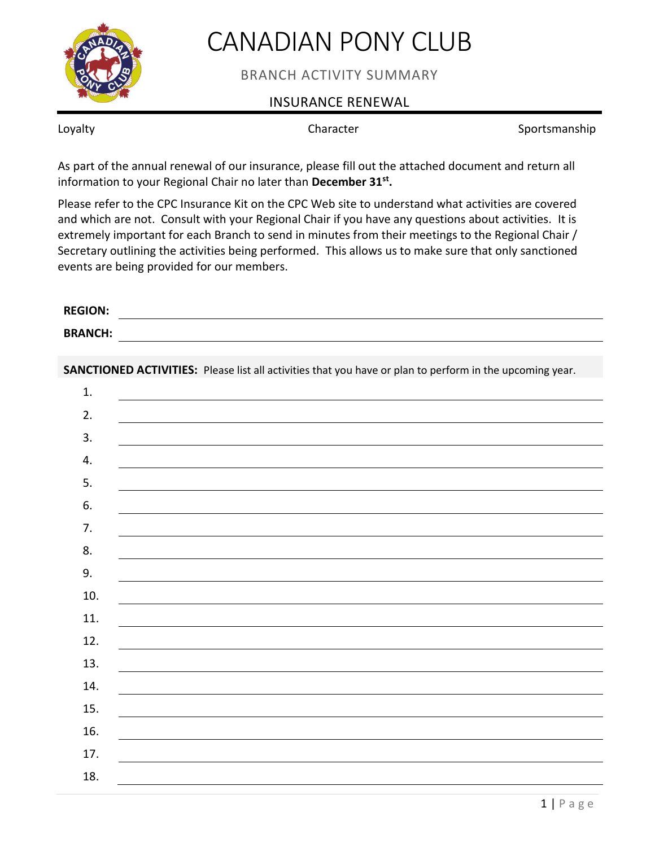

## CANADIAN PONY CLUB

BRANCH ACTIVITY SUMMARY

## INSURANCE RENEWAL

Loyalty **Sportsmanship** Character **Sportsmanship** 

As part of the annual renewal of our insurance, please fill out the attached document and return all information to your Regional Chair no later than **December 31st .**

Please refer to the CPC Insurance Kit on the CPC Web site to understand what activities are covered and which are not. Consult with your Regional Chair if you have any questions about activities. It is extremely important for each Branch to send in minutes from their meetings to the Regional Chair / Secretary outlining the activities being performed. This allows us to make sure that only sanctioned events are being provided for our members.

| <b>REGION:</b> |                                                                                                          |
|----------------|----------------------------------------------------------------------------------------------------------|
| <b>BRANCH:</b> |                                                                                                          |
|                |                                                                                                          |
|                | SANCTIONED ACTIVITIES: Please list all activities that you have or plan to perform in the upcoming year. |
| 1.             |                                                                                                          |
| 2.             |                                                                                                          |
| 3.             |                                                                                                          |
| 4.             |                                                                                                          |
| 5.             |                                                                                                          |
| 6.             |                                                                                                          |
| 7.             |                                                                                                          |
| 8.             |                                                                                                          |
| 9.             |                                                                                                          |
| 10.            |                                                                                                          |
| 11.            |                                                                                                          |
| 12.            |                                                                                                          |
| 13.            |                                                                                                          |
| 14.            |                                                                                                          |
| 15.            |                                                                                                          |
| 16.            |                                                                                                          |
| 17.            |                                                                                                          |
| 18.            |                                                                                                          |